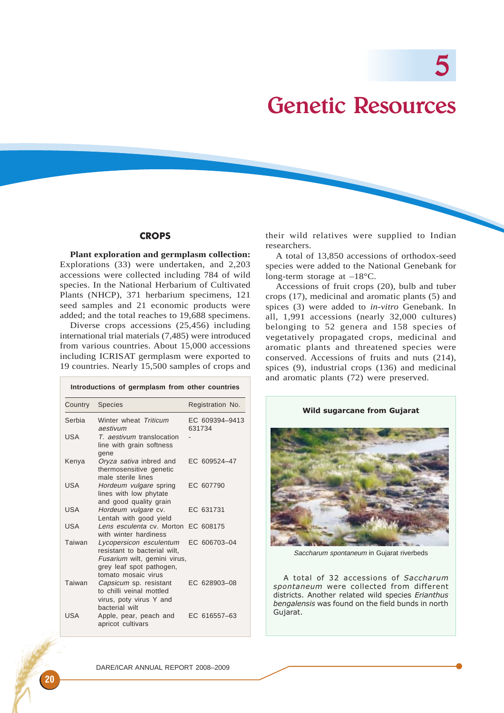5

# Genetic Resources

# **CROPS**

**Plant exploration and germplasm collection:** Explorations (33) were undertaken, and 2,203 accessions were collected including 784 of wild species. In the National Herbarium of Cultivated Plants (NHCP), 371 herbarium specimens, 121 seed samples and 21 economic products were added; and the total reaches to 19,688 specimens.

Diverse crops accessions (25,456) including international trial materials (7,485) were introduced from various countries. About 15,000 accessions including ICRISAT germplasm were exported to 19 countries. Nearly 15,500 samples of crops and

**Introductions of germplasm from other countries** Country Species Registration No. Serbia Winter wheat Triticum EC 609394-9413 aestivum 631734 USA T. aestivum translocation line with grain softness gene Kenya Oryza sativa inbred and EC 609524–47 thermosensitive genetic male sterile lines USA Hordeum vulgare spring EC 607790 lines with low phytate and good quality grain USA Hordeum vulgare cv. EC 631731 Lentah with good yield USA Lens esculenta cv. Morton EC 608175 with winter hardiness Taiwan Lycopersicon esculentum EC 606703–04 resistant to bacterial wilt, Fusarium wilt, gemini virus, grey leaf spot pathogen, tomato mosaic virus Taiwan Capsicum sp. resistant EC 628903–08 to chilli veinal mottled virus, poty virus Y and bacterial wilt USA Apple, pear, peach and EC 616557–63 apricot cultivars

their wild relatives were supplied to Indian researchers.

A total of 13,850 accessions of orthodox-seed species were added to the National Genebank for long-term storage at –18°C.

Accessions of fruit crops (20), bulb and tuber crops (17), medicinal and aromatic plants (5) and spices (3) were added to *in-vitro* Genebank. In all, 1,991 accessions (nearly 32,000 cultures) belonging to 52 genera and 158 species of vegetatively propagated crops, medicinal and aromatic plants and threatened species were conserved. Accessions of fruits and nuts (214), spices (9), industrial crops (136) and medicinal and aromatic plants (72) were preserved.



Saccharum spontaneum in Gujarat riverbeds

A total of 32 accessions of Saccharum spontaneum were collected from different districts. Another related wild species Erianthus bengalensis was found on the field bunds in north Gujarat.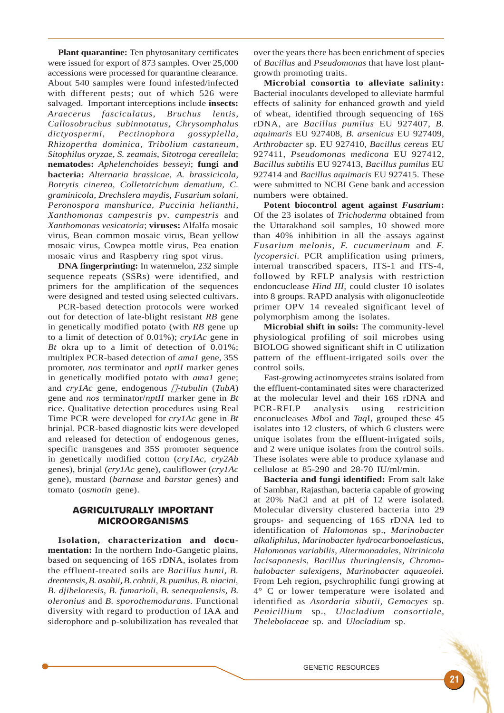**Plant quarantine:** Ten phytosanitary certificates were issued for export of 873 samples. Over 25,000 accessions were processed for quarantine clearance. About 540 samples were found infested/infected with different pests; out of which 526 were salvaged. Important interceptions include **insects:** *Araecerus fasciculatus, Bruchus lentis, Callosobruchus subinnotatus, Chrysomphalus dictyospermi, Pectinophora gossypiella, Rhizopertha dominica, Tribolium castaneum, Sitophilus oryzae, S. zeamais, Sitotroga cereallela*; **nematodes:** *Aphelenchoides besseyi*; **fungi and bacteria:** *Alternaria brassicae, A. brassicicola, Botrytis cinerea, Colletotrichum dematium, C. graminicola, Drechslera maydis, Fusarium solani, Peronospora manshurica, Puccinia helianthi, Xanthomonas campestris* pv. *campestris* and *Xanthomonas vesicatoria*; **viruses:** Alfalfa mosaic virus, Bean common mosaic virus, Bean yellow mosaic virus, Cowpea mottle virus, Pea enation mosaic virus and Raspberry ring spot virus.

**DNA fingerprinting:** In watermelon, 232 simple sequence repeats (SSRs) were identified, and primers for the amplification of the sequences were designed and tested using selected cultivars.

PCR-based detection protocols were worked out for detection of late-blight resistant *RB* gene in genetically modified potato (with *RB* gene up to a limit of detection of 0.01%); *cry1Ac* gene in *Bt* okra up to a limit of detection of 0.01%; multiplex PCR-based detection of *ama1* gene, 35S promoter, *nos* terminator and *nptII* marker genes in genetically modified potato with *ama1* gene; and *cry1Ac* gene, endogenous  $\Box$ -tubulin (TubA) gene and *nos* terminator/*nptII* marker gene in *Bt* rice. Qualitative detection procedures using Real Time PCR were developed for *cry1Ac* gene in *Bt* brinjal. PCR-based diagnostic kits were developed and released for detection of endogenous genes, specific transgenes and 35S promoter sequence in genetically modified cotton (*cry1Ac, cry2Ab* genes), brinjal (*cry1Ac* gene), cauliflower (*cry1Ac* gene), mustard (*barnase* and *barstar* genes) and tomato (*osmotin* gene).

## AGRICULTURALLY IMPORTANT MICROORGANISMS

**Isolation, characterization and documentation:** In the northern Indo-Gangetic plains, based on sequencing of 16S rDNA, isolates from the effluent-treated soils are *Bacillus humi, B. drentensis, B. asahii, B. cohnii, B. pumilus, B. niacini, B. djibeloresis, B. fumarioli, B. senequalensis, B. oleronius* and *B. sporothemodurans.* Functional diversity with regard to production of IAA and siderophore and p-solubilization has revealed that over the years there has been enrichment of species of *Bacillus* and *Pseudomonas* that have lost plantgrowth promoting traits.

**Microbial consortia to alleviate salinity:** Bacterial inoculants developed to alleviate harmful effects of salinity for enhanced growth and yield of wheat, identified through sequencing of 16S rDNA, are *Bacillus pumilus* EU 927407, *B. aquimaris* EU 927408, *B. arsenicus* EU 927409, *Arthrobacter* sp. EU 927410, *Bacillus cereus* EU 927411, *Pseudomonas medicona* EU 927412, *Bacillus subtilis* EU 927413, *Bacillus pumilus* EU 927414 and *Bacillus aquimaris* EU 927415. These were submitted to NCBI Gene bank and accession numbers were obtained.

**Potent biocontrol agent against** *Fusarium***:** Of the 23 isolates of *Trichoderma* obtained from the Uttarakhand soil samples, 10 showed more than 40% inhibition in all the assays against *Fusarium melonis, F. cucumerinum* and *F. lycopersici.* PCR amplification using primers, internal transcribed spacers, ITS-1 and ITS-4, followed by RFLP analysis with restriction endoncuclease *Hind III,* could cluster 10 isolates into 8 groups. RAPD analysis with oligonucleotide primer OPV 14 revealed significant level of polymorphism among the isolates.

**Microbial shift in soils:** The community-level physiological profiling of soil microbes using BIOLOG showed significant shift in C utilization pattern of the effluent-irrigated soils over the control soils.

Fast-growing actinomycetes strains isolated from the effluent-contaminated sites were characterized at the molecular level and their 16S rDNA and PCR-RFLP analysis using restricition enconucleases *Mbo*I and *Taq*I, grouped these 45 isolates into 12 clusters, of which 6 clusters were unique isolates from the effluent-irrigated soils, and 2 were unique isolates from the control soils. These isolates were able to produce xylanase and cellulose at 85-290 and 28-70 IU/ml/min.

**Bacteria and fungi identified:** From salt lake of Sambhar, Rajasthan, bacteria capable of growing at 20% NaCl and at pH of 12 were isolated. Molecular diversity clustered bacteria into 29 groups- and sequencing of 16S rDNA led to identification of *Halomonas* sp., *Marinobacter alkaliphilus, Marinobacter hydrocarbonoelasticus, Halomonas variabilis, Altermonadales, Nitrinicola lacisaponesis, Bacillus thuringiensis, Chromohalobacter salexigens, Marinobacter aquaeolei.* From Leh region, psychrophilic fungi growing at 4° C or lower temperature were isolated and identified as *Asordaria sibutii, Gemocyes* sp. *Penicillium* sp., *Ulocladium consortiale, Thelebolaceae* sp. and *Ulocladium* sp.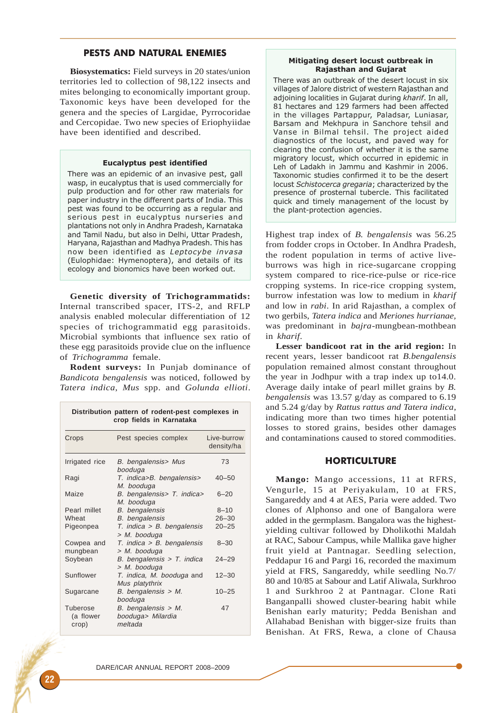# PESTS AND NATURAL ENEMIES

**Biosystematics:** Field surveys in 20 states/union territories led to collection of 98,122 insects and mites belonging to economically important group. Taxonomic keys have been developed for the genera and the species of Largidae, Pyrrocoridae and Cercopidae. Two new species of Eriophyiidae have been identified and described.

#### Eucalyptus pest identified

There was an epidemic of an invasive pest, gall wasp, in eucalyptus that is used commercially for pulp production and for other raw materials for paper industry in the different parts of India. This pest was found to be occurring as a regular and serious pest in eucalyptus nurseries and plantations not only in Andhra Pradesh, Karnataka and Tamil Nadu, but also in Delhi, Uttar Pradesh, Haryana, Rajasthan and Madhya Pradesh. This has now been identified as Leptocybe invasa (Eulophidae: Hymenoptera), and details of its ecology and bionomics have been worked out.

**Genetic diversity of Trichogrammatids:** Internal transcribed spacer, ITS-2, and RFLP analysis enabled molecular differentiation of 12 species of trichogrammatid egg parasitoids. Microbial symbionts that influence sex ratio of these egg parasitoids provide clue on the influence of *Trichogramma* female.

**Rodent surveys:** In Punjab dominance of *Bandicota bengalensis* was noticed, followed by *Tatera indica*, *Mus* spp. and *Golunda ellioti*.

| Distribution pattern of rodent-pest complexes in<br>crop fields in Karnataka |                                                       |                           |
|------------------------------------------------------------------------------|-------------------------------------------------------|---------------------------|
| Crops                                                                        | Pest species complex                                  | Live-burrow<br>density/ha |
| Irrigated rice                                                               | B. bengalensis> Mus<br>booduga                        | 73                        |
| Ragi                                                                         | T. indica>B. bengalensis><br>M. booduga               | $40 - 50$                 |
| Maize                                                                        | B. bengalensis> T. indica><br>M. booduga              | $6 - 20$                  |
| Pearl millet                                                                 | B. bengalensis                                        | $8 - 10$                  |
| Wheat                                                                        | <b>B.</b> bengalensis                                 | $26 - 30$                 |
| Pigeonpea                                                                    | $T.$ indica > B. bengalensis<br>> M. booduga          | $20 - 25$                 |
| Cowpea and<br>mungbean                                                       | T. indica > B. bengalensis<br>> M. booduga            | $8 - 30$                  |
| Soybean                                                                      | B. bengalensis $>$ T. indica<br>> M. booduga          | $24 - 29$                 |
| Sunflower                                                                    | T. indica, M. booduga and<br>Mus platythrix           | $12 - 30$                 |
| Sugarcane                                                                    | $B.$ bengalensis > M.<br>booduga                      | $10 - 25$                 |
| Tuberose<br>(a flower<br>crop)                                               | $B.$ bengalensis > M.<br>booduga> Milardia<br>meltada | 47                        |

#### Mitigating desert locust outbreak in Rajasthan and Gujarat

There was an outbreak of the desert locust in six villages of Jalore district of western Rajasthan and adjoining localities in Gujarat during kharif. In all, 81 hectares and 129 farmers had been affected in the villages Partappur, Paladsar, Luniasar, Barsam and Mekhpura in Sanchore tehsil and Vanse in Bilmal tehsil. The project aided diagnostics of the locust, and paved way for clearing the confusion of whether it is the same migratory locust, which occurred in epidemic in Leh of Ladakh in Jammu and Kashmir in 2006. Taxonomic studies confirmed it to be the desert locust Schistocerca gregaria; characterized by the presence of prosternal tubercle. This facilitated quick and timely management of the locust by the plant-protection agencies.

Highest trap index of *B. bengalensis* was 56.25 from fodder crops in October. In Andhra Pradesh, the rodent population in terms of active liveburrows was high in rice-sugarcane cropping system compared to rice-rice-pulse or rice-rice cropping systems. In rice-rice cropping system, burrow infestation was low to medium in *kharif* and low in *rabi*. In arid Rajasthan, a complex of two gerbils, *Tatera indica* and *Meriones hurrianae,* was predominant in *bajra*-mungbean-mothbean in *kharif*.

**Lesser bandicoot rat in the arid region:** In recent years, lesser bandicoot rat *B.bengalensis* population remained almost constant throughout the year in Jodhpur with a trap index up to14.0. Average daily intake of pearl millet grains by *B. bengalensis* was 13.57 g/day as compared to 6.19 and 5.24 g/day by *Rattus rattus and Tatera indica*, indicating more than two times higher potential losses to stored grains, besides other damages and contaminations caused to stored commodities.

## **HORTICULTURE**

**Mango:** Mango accessions, 11 at RFRS, Vengurle, 15 at Periyakulam, 10 at FRS, Sangareddy and 4 at AES, Paria were added. Two clones of Alphonso and one of Bangalora were added in the germplasm. Bangalora was the highestyielding cultivar followed by Dholikothi Maldah at RAC, Sabour Campus, while Mallika gave higher fruit yield at Pantnagar. Seedling selection, Peddapur 16 and Pargi 16, recorded the maximum yield at FRS, Sangareddy, while seedling No.7/ 80 and 10/85 at Sabour and Latif Aliwala, Surkhroo 1 and Surkhroo 2 at Pantnagar. Clone Rati Banganpalli showed cluster-bearing habit while Benishan early maturity; Pedda Benishan and Allahabad Benishan with bigger-size fruits than Benishan. At FRS, Rewa, a clone of Chausa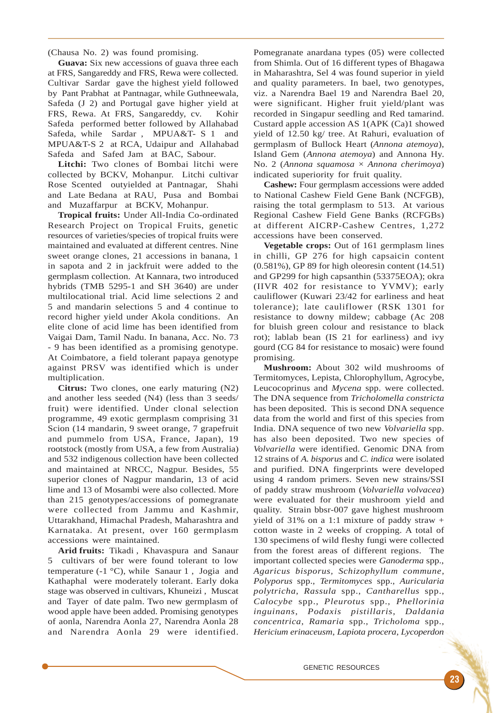(Chausa No. 2) was found promising.

**Guava:** Six new accessions of guava three each at FRS, Sangareddy and FRS, Rewa were collected. Cultivar Sardar gave the highest yield followed by Pant Prabhat at Pantnagar, while Guthneewala, Safeda (J 2) and Portugal gave higher yield at FRS, Rewa. At FRS, Sangareddy, cv. Kohir Safeda performed better followed by Allahabad Safeda, while Sardar , MPUA&T- S 1 and MPUA&T-S 2 at RCA, Udaipur and Allahabad Safeda and Safed Jam at BAC, Sabour.

**Litchi:** Two clones of Bombai litchi were collected by BCKV, Mohanpur. Litchi cultivar Rose Scented outyielded at Pantnagar, Shahi and Late Bedana at RAU, Pusa and Bombai and Muzaffarpur at BCKV, Mohanpur.

**Tropical fruits:** Under All-India Co-ordinated Research Project on Tropical Fruits, genetic resources of varieties/species of tropical fruits were maintained and evaluated at different centres. Nine sweet orange clones, 21 accessions in banana, 1 in sapota and 2 in jackfruit were added to the germplasm collection. At Kannara, two introduced hybrids (TMB 5295-1 and SH 3640) are under multilocational trial. Acid lime selections 2 and 5 and mandarin selections 5 and 4 continue to record higher yield under Akola conditions. An elite clone of acid lime has been identified from Vaigai Dam, Tamil Nadu. In banana, Acc. No. 73 - 9 has been identified as a promising genotype. At Coimbatore, a field tolerant papaya genotype against PRSV was identified which is under multiplication.

**Citrus:** Two clones, one early maturing (N2) and another less seeded (N4) (less than 3 seeds/ fruit) were identified. Under clonal selection programme, 49 exotic germplasm comprising 31 Scion (14 mandarin, 9 sweet orange, 7 grapefruit and pummelo from USA, France, Japan), 19 rootstock (mostly from USA, a few from Australia) and 532 indigenous collection have been collected and maintained at NRCC, Nagpur. Besides, 55 superior clones of Nagpur mandarin, 13 of acid lime and 13 of Mosambi were also collected. More than 215 genotypes/accessions of pomegranate were collected from Jammu and Kashmir, Uttarakhand, Himachal Pradesh, Maharashtra and Karnataka. At present, over 160 germplasm accessions were maintained.

**Arid fruits:** Tikadi , Khavaspura and Sanaur 5 cultivars of ber were found tolerant to low temperature (-1 °C), while Sanaur 1 , Jogia and Kathaphal were moderately tolerant. Early doka stage was observed in cultivars, Khuneizi , Muscat and Tayer of date palm. Two new germplasm of wood apple have been added. Promising genotypes of aonla, Narendra Aonla 27, Narendra Aonla 28 and Narendra Aonla 29 were identified.

Pomegranate anardana types (05) were collected from Shimla. Out of 16 different types of Bhagawa in Maharashtra, Sel 4 was found superior in yield and quality parameters. In bael, two genotypes, viz. a Narendra Bael 19 and Narendra Bael 20, were significant. Higher fruit yield/plant was recorded in Singapur seedling and Red tamarind. Custard apple accession AS 1(APK (Ca)1 showed yield of 12.50 kg/ tree. At Rahuri, evaluation of germplasm of Bullock Heart (*Annona atemoya*), Island Gem (*Annona atemoya*) and Annona Hy. No. 2 (*Annona squamosa* × *Annona cherimoya*) indicated superiority for fruit quality.

**Cashew:** Four germplasm accessions were added to National Cashew Field Gene Bank (NCFGB), raising the total germplasm to 513. At various Regional Cashew Field Gene Banks (RCFGBs) at different AICRP-Cashew Centres, 1,272 accessions have been conserved.

**Vegetable crops:** Out of 161 germplasm lines in chilli, GP 276 for high capsaicin content (0.581%), GP 89 for high oleoresin content (14.51) and GP299 for high capsanthin (53375EOA); okra (IIVR 402 for resistance to YVMV); early cauliflower (Kuwari 23/42 for earliness and heat tolerance); late cauliflower (RSK 1301 for resistance to downy mildew; cabbage (Ac 208 for bluish green colour and resistance to black rot); lablab bean (IS 21 for earliness) and ivy gourd (CG 84 for resistance to mosaic) were found promising.

**Mushroom:** About 302 wild mushrooms of Termitomyces, Lepista, Chlorophyllum, Agrocybe, Leucocoprinus and *Mycena* spp. were collected. The DNA sequence from *Tricholomella constricta* has been deposited. This is second DNA sequence data from the world and first of this species from India. DNA sequence of two new *Volvariella* spp. has also been deposited. Two new species of *Volvariella* were identified. Genomic DNA from 12 strains of *A. bisporus* and *C. indica* were isolated and purified. DNA fingerprints were developed using 4 random primers. Seven new strains/SSI of paddy straw mushroom (*Volvariella volvacea*) were evaluated for their mushroom yield and quality. Strain bbsr-007 gave highest mushroom yield of 31% on a 1:1 mixture of paddy straw + cotton waste in 2 weeks of cropping. A total of 130 specimens of wild fleshy fungi were collected from the forest areas of different regions. The important collected species were *Ganoderma* spp., *Agaricus bisporus, Schizophyllum commune*, *Polyporus* spp., *Termitomyces* spp., *Auricularia polytricha*, *Rassula* spp., *Cantharellus* spp., *Calocybe* spp., *Pleurotus* spp., *Phellorinia inguinans*, *Podaxis pistillaris*, *Daldania concentrica*, *Ramaria* spp., *Tricholoma* spp., *Hericium erinaceusm*, *Lapiota procera*, *Lycoperdon*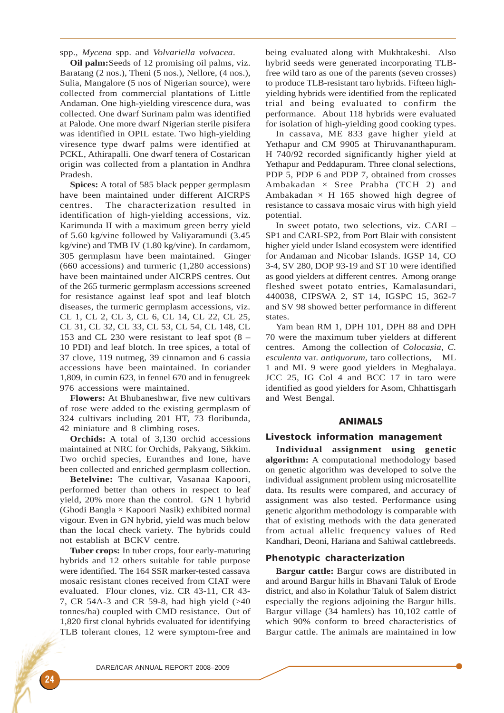spp., *Mycena* spp. and *Volvariella volvacea*.

**Oil palm:**Seeds of 12 promising oil palms, viz. Baratang (2 nos.), Theni (5 nos.), Nellore, (4 nos.), Sulia, Mangalore (5 nos of Nigerian source), were collected from commercial plantations of Little Andaman. One high-yielding virescence dura, was collected. One dwarf Surinam palm was identified at Palode. One more dwarf Nigerian sterile pisifera was identified in OPIL estate. Two high-yielding viresence type dwarf palms were identified at PCKL, Athirapalli. One dwarf tenera of Costarican origin was collected from a plantation in Andhra Pradesh.

**Spices:** A total of 585 black pepper germplasm have been maintained under different AICRPS centres. The characterization resulted in identification of high-yielding accessions, viz. Karimunda II with a maximum green berry yield of 5.60 kg/vine followed by Valiyaramundi (3.45 kg/vine) and TMB IV (1.80 kg/vine). In cardamom, 305 germplasm have been maintained. Ginger (660 accessions) and turmeric (1,280 accessions) have been maintained under AICRPS centres. Out of the 265 turmeric germplasm accessions screened for resistance against leaf spot and leaf blotch diseases, the turmeric germplasm accessions, viz. CL 1, CL 2, CL 3, CL 6, CL 14, CL 22, CL 25, CL 31, CL 32, CL 33, CL 53, CL 54, CL 148, CL 153 and CL 230 were resistant to leaf spot (8 – 10 PDI) and leaf blotch. In tree spices, a total of 37 clove, 119 nutmeg, 39 cinnamon and 6 cassia accessions have been maintained. In coriander 1,809, in cumin 623, in fennel 670 and in fenugreek 976 accessions were maintained.

**Flowers:** At Bhubaneshwar, five new cultivars of rose were added to the existing germplasm of 324 cultivars including 201 HT, 73 floribunda, 42 miniature and 8 climbing roses.

**Orchids:** A total of 3,130 orchid accessions maintained at NRC for Orchids, Pakyang, Sikkim. Two orchid species, Euranthes and Ione, have been collected and enriched germplasm collection.

**Betelvine:** The cultivar, Vasanaa Kapoori, performed better than others in respect to leaf yield, 20% more than the control. GN 1 hybrid (Ghodi Bangla × Kapoori Nasik) exhibited normal vigour. Even in GN hybrid, yield was much below than the local check variety. The hybrids could not establish at BCKV centre.

**Tuber crops:** In tuber crops, four early-maturing hybrids and 12 others suitable for table purpose were identified. The 164 SSR marker-tested cassava mosaic resistant clones received from CIAT were evaluated. Flour clones, viz. CR 43-11, CR 43- 7, CR 54A-3 and CR 59-8, had high yield (>40 tonnes/ha) coupled with CMD resistance. Out of 1,820 first clonal hybrids evaluated for identifying TLB tolerant clones, 12 were symptom-free and

being evaluated along with Mukhtakeshi. Also hybrid seeds were generated incorporating TLBfree wild taro as one of the parents (seven crosses) to produce TLB-resistant taro hybrids. Fifteen highyielding hybrids were identified from the replicated trial and being evaluated to confirm the performance. About 118 hybrids were evaluated for isolation of high-yielding good cooking types.

In cassava, ME 833 gave higher yield at Yethapur and CM 9905 at Thiruvananthapuram. H 740/92 recorded significantly higher yield at Yethapur and Peddapuram. Three clonal selections, PDP 5, PDP 6 and PDP 7, obtained from crosses Ambakadan  $\times$  Sree Prabha (TCH 2) and Ambakadan  $\times$  H 165 showed high degree of resistance to cassava mosaic virus with high yield potential.

In sweet potato, two selections, viz. CARI – SP1 and CARI-SP2, from Port Blair with consistent higher yield under Island ecosystem were identified for Andaman and Nicobar Islands. IGSP 14, CO 3-4, SV 280, DOP 93-19 and ST 10 were identified as good yielders at different centres. Among orange fleshed sweet potato entries, Kamalasundari, 440038, CIPSWA 2, ST 14, IGSPC 15, 362-7 and SV 98 showed better performance in different states.

Yam bean RM 1, DPH 101, DPH 88 and DPH 70 were the maximum tuber yielders at different centres. Among the collection of *Colocasia*, *C. esculenta* var. *antiquorum,* taro collections, ML 1 and ML 9 were good yielders in Meghalaya. JCC 25, IG Col 4 and BCC 17 in taro were identified as good yielders for Asom, Chhattisgarh and West Bengal.

## ANIMALS

#### Livestock information management

**Individual assignment using genetic algorithm:** A computational methodology based on genetic algorithm was developed to solve the individual assignment problem using microsatellite data. Its results were compared, and accuracy of assignment was also tested. Performance using genetic algorithm methodology is comparable with that of existing methods with the data generated from actual allelic frequency values of Red Kandhari, Deoni, Hariana and Sahiwal cattlebreeds.

#### Phenotypic characterization

**Bargur cattle:** Bargur cows are distributed in and around Bargur hills in Bhavani Taluk of Erode district, and also in Kolathur Taluk of Salem district especially the regions adjoining the Bargur hills. Bargur village (34 hamlets) has 10,102 cattle of which 90% conform to breed characteristics of Bargur cattle. The animals are maintained in low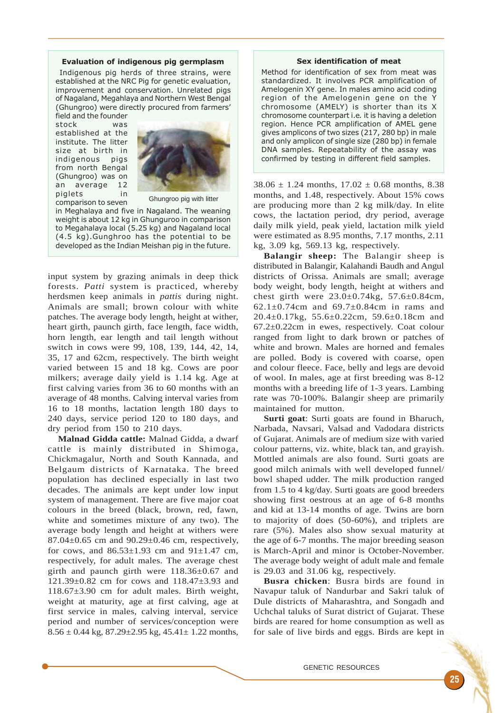#### Evaluation of indigenous pig germplasm

 Indigenous pig herds of three strains, were established at the NRC Pig for genetic evaluation, improvement and conservation. Unrelated pigs of Nagaland, Megahlaya and Northern West Bengal (Ghungroo) were directly procured from farmers' field and the founder

stock was established at the institute. The litter size at birth in indigenous pigs from north Bengal (Ghungroo) was on an average 12 piglets in comparison to seven



Ghungroo pig with litter

in Meghalaya and five in Nagaland. The weaning weight is about 12 kg in Ghunguroo in comparison to Megahalaya local (5.25 kg) and Nagaland local (4.5 kg).Gunghroo has the potential to be developed as the Indian Meishan pig in the future.

input system by grazing animals in deep thick forests. *Patti* system is practiced, whereby herdsmen keep animals in *pattis* during night. Animals are small; brown colour with white patches. The average body length, height at wither, heart girth, paunch girth, face length, face width, horn length, ear length and tail length without switch in cows were 99, 108, 139, 144, 42, 14, 35, 17 and 62cm, respectively. The birth weight varied between 15 and 18 kg. Cows are poor milkers; average daily yield is 1.14 kg. Age at first calving varies from 36 to 60 months with an average of 48 months. Calving interval varies from 16 to 18 months, lactation length 180 days to 240 days, service period 120 to 180 days, and dry period from 150 to 210 days.

**Malnad Gidda cattle:** Malnad Gidda, a dwarf cattle is mainly distributed in Shimoga, Chickmagalur, North and South Kannada, and Belgaum districts of Karnataka. The breed population has declined especially in last two decades. The animals are kept under low input system of management. There are five major coat colours in the breed (black, brown, red, fawn, white and sometimes mixture of any two). The average body length and height at withers were 87.04±0.65 cm and 90.29±0.46 cm, respectively, for cows, and  $86.53 \pm 1.93$  cm and  $91 \pm 1.47$  cm, respectively, for adult males. The average chest girth and paunch girth were 118.36±0.67 and 121.39±0.82 cm for cows and 118.47±3.93 and 118.67±3.90 cm for adult males. Birth weight, weight at maturity, age at first calving, age at first service in males, calving interval, service period and number of services/conception were  $8.56 \pm 0.44$  kg,  $87.29 \pm 2.95$  kg,  $45.41 \pm 1.22$  months,

#### Sex identification of meat

Method for identification of sex from meat was standardized. It involves PCR amplification of Amelogenin XY gene. In males amino acid coding region of the Amelogenin gene on the Y chromosome (AMELY) is shorter than its X chromosome counterpart i.e. it is having a deletion region. Hence PCR amplification of AMEL gene gives amplicons of two sizes (217, 280 bp) in male and only amplicon of single size (280 bp) in female DNA samples. Repeatability of the assay was confirmed by testing in different field samples.

 $38.06 \pm 1.24$  months,  $17.02 \pm 0.68$  months, 8.38 months, and 1.48, respectively. About 15% cows are producing more than 2 kg milk/day. In elite cows, the lactation period, dry period, average daily milk yield, peak yield, lactation milk yield were estimated as 8.95 months, 7.17 months, 2.11 kg, 3.09 kg, 569.13 kg, respectively.

**Balangir sheep:** The Balangir sheep is distributed in Balangir, Kalahandi Baudh and Angul districts of Orissa. Animals are small; average body weight, body length, height at withers and chest girth were 23.0±0.74kg, 57.6±0.84cm, 62.1±0.74cm and 69.7±0.84cm in rams and 20.4±0.17kg, 55.6±0.22cm, 59.6±0.18cm and 67.2±0.22cm in ewes, respectively. Coat colour ranged from light to dark brown or patches of white and brown. Males are horned and females are polled. Body is covered with coarse, open and colour fleece. Face, belly and legs are devoid of wool. In males, age at first breeding was 8-12 months with a breeding life of 1-3 years. Lambing rate was 70-100%. Balangir sheep are primarily maintained for mutton.

**Surti goat**: Surti goats are found in Bharuch, Narbada, Navsari, Valsad and Vadodara districts of Gujarat. Animals are of medium size with varied colour patterns, viz. white, black tan, and grayish. Mottled animals are also found. Surti goats are good milch animals with well developed funnel/ bowl shaped udder. The milk production ranged from 1.5 to 4 kg/day. Surti goats are good breeders showing first oestrous at an age of 6-8 months and kid at 13-14 months of age. Twins are born to majority of does (50-60%), and triplets are rare (5%). Males also show sexual maturity at the age of 6-7 months. The major breeding season is March-April and minor is October-November. The average body weight of adult male and female is 29.03 and 31.06 kg, respectively.

**Busra chicken**: Busra birds are found in Navapur taluk of Nandurbar and Sakri taluk of Dule districts of Maharashtra, and Songadh and Uchchal taluks of Surat district of Gujarat. These birds are reared for home consumption as well as for sale of live birds and eggs. Birds are kept in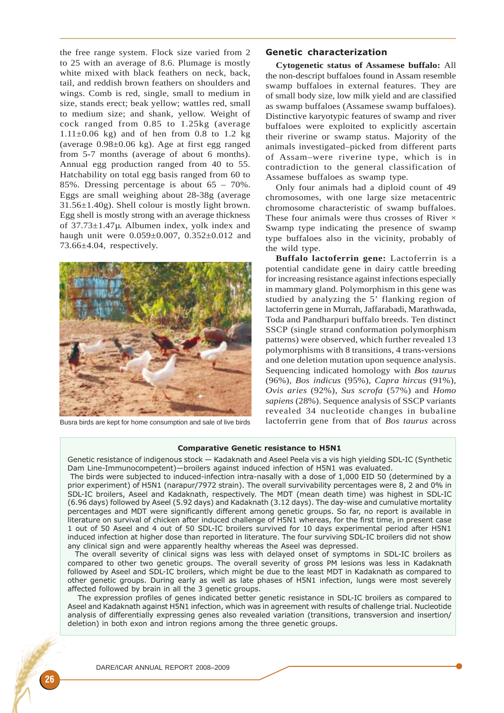the free range system. Flock size varied from 2 to 25 with an average of 8.6. Plumage is mostly white mixed with black feathers on neck, back, tail, and reddish brown feathers on shoulders and wings. Comb is red, single, small to medium in size, stands erect; beak yellow; wattles red, small to medium size; and shank, yellow. Weight of cock ranged from 0.85 to 1.25kg (average  $1.11\pm0.06$  kg) and of hen from 0.8 to 1.2 kg (average  $0.98\pm0.06$  kg). Age at first egg ranged from 5-7 months (average of about 6 months). Annual egg production ranged from 40 to 55. Hatchability on total egg basis ranged from 60 to 85%. Dressing percentage is about 65 – 70%. Eggs are small weighing about 28-38g (average 31.56±1.40g). Shell colour is mostly light brown. Egg shell is mostly strong with an average thickness of 37.73±1.47µ. Albumen index, yolk index and haugh unit were 0.059±0.007, 0.352±0.012 and 73.66±4.04, respectively.



Busra birds are kept for home consumption and sale of live birds

## Genetic characterization

**Cytogenetic status of Assamese buffalo:** All the non-descript buffaloes found in Assam resemble swamp buffaloes in external features. They are of small body size, low milk yield and are classified as swamp buffaloes (Assamese swamp buffaloes). Distinctive karyotypic features of swamp and river buffaloes were exploited to explicitly ascertain their riverine or swamp status. Majority of the animals investigated–picked from different parts of Assam–were riverine type, which is in contradiction to the general classification of Assamese buffaloes as swamp type.

Only four animals had a diploid count of 49 chromosomes, with one large size metacentric chromosome characteristic of swamp buffaloes. These four animals were thus crosses of River  $\times$ Swamp type indicating the presence of swamp type buffaloes also in the vicinity, probably of the wild type.

**Buffalo lactoferrin gene:** Lactoferrin is a potential candidate gene in dairy cattle breeding for increasing resistance against infections especially in mammary gland. Polymorphism in this gene was studied by analyzing the 5' flanking region of lactoferrin gene in Murrah, Jaffarabadi, Marathwada, Toda and Pandharpuri buffalo breeds. Ten distinct SSCP (single strand conformation polymorphism patterns) were observed, which further revealed 13 polymorphisms with 8 transitions, 4 trans-versions and one deletion mutation upon sequence analysis. Sequencing indicated homology with *Bos taurus* (96%), *Bos indicus* (95%), *Capra hircus* (91%), *Ovis aries* (92%), *Sus scrofa* (57%) and *Homo sapiens* (28%). Sequence analysis of SSCP variants revealed 34 nucleotide changes in bubaline lactoferrin gene from that of *Bos taurus* across

#### Comparative Genetic resistance to H5N1

Genetic resistance of indigenous stock — Kadaknath and Aseel Peela vis a vis high yielding SDL-IC (Synthetic Dam Line-Immunocompetent)—broilers against induced infection of H5N1 was evaluated.

 The birds were subjected to induced-infection intra-nasally with a dose of 1,000 EID 50 (determined by a prior experiment) of H5N1 (narapur/7972 strain). The overall survivability percentages were 8, 2 and 0% in SDL-IC broilers, Aseel and Kadaknath, respectively. The MDT (mean death time) was highest in SDL-IC (6.96 days) followed by Aseel (5.92 days) and Kadaknath (3.12 days). The day-wise and cumulative mortality percentages and MDT were significantly different among genetic groups. So far, no report is available in literature on survival of chicken after induced challenge of H5N1 whereas, for the first time, in present case 1 out of 50 Aseel and 4 out of 50 SDL-IC broilers survived for 10 days experimental period after H5N1 induced infection at higher dose than reported in literature. The four surviving SDL-IC broilers did not show any clinical sign and were apparently healthy whereas the Aseel was depressed.

 The overall severity of clinical signs was less with delayed onset of symptoms in SDL-IC broilers as compared to other two genetic groups. The overall severity of gross PM lesions was less in Kadaknath followed by Aseel and SDL-IC broilers, which might be due to the least MDT in Kadaknath as compared to other genetic groups. During early as well as late phases of H5N1 infection, lungs were most severely affected followed by brain in all the 3 genetic groups.

The expression profiles of genes indicated better genetic resistance in SDL-IC broilers as compared to Aseel and Kadaknath against H5N1 infection, which was in agreement with results of challenge trial. Nucleotide analysis of differentially expressing genes also revealed variation (transitions, transversion and insertion/ deletion) in both exon and intron regions among the three genetic groups.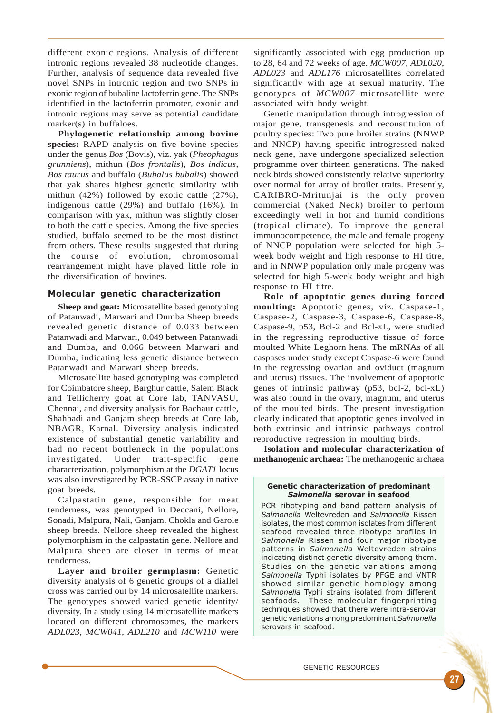different exonic regions. Analysis of different intronic regions revealed 38 nucleotide changes. Further, analysis of sequence data revealed five novel SNPs in intronic region and two SNPs in exonic region of bubaline lactoferrin gene. The SNPs identified in the lactoferrin promoter, exonic and intronic regions may serve as potential candidate marker(s) in buffaloes.

**Phylogenetic relationship among bovine species:** RAPD analysis on five bovine species under the genus *Bos* (Bovis), viz. yak (*Pheophagus grunniens*), mithun (*Bos frontalis*), *Bos indicus*, *Bos taurus* and buffalo (*Bubalus bubalis*) showed that yak shares highest genetic similarity with mithun (42%) followed by exotic cattle (27%), indigenous cattle (29%) and buffalo (16%). In comparison with yak, mithun was slightly closer to both the cattle species. Among the five species studied, buffalo seemed to be the most distinct from others. These results suggested that during the course of evolution, chromosomal rearrangement might have played little role in the diversification of bovines.

### Molecular genetic characterization

**Sheep and goat:** Microsatellite based genotyping of Patanwadi, Marwari and Dumba Sheep breeds revealed genetic distance of 0.033 between Patanwadi and Marwari, 0.049 between Patanwadi and Dumba, and 0.066 between Marwari and Dumba, indicating less genetic distance between Patanwadi and Marwari sheep breeds.

Microsatellite based genotyping was completed for Coimbatore sheep, Barghur cattle, Salem Black and Tellicherry goat at Core lab, TANVASU, Chennai, and diversity analysis for Bachaur cattle, Shahbadi and Ganjam sheep breeds at Core lab, NBAGR, Karnal. Diversity analysis indicated existence of substantial genetic variability and had no recent bottleneck in the populations investigated. Under trait-specific gene characterization, polymorphism at the *DGAT1* locus was also investigated by PCR-SSCP assay in native goat breeds.

Calpastatin gene, responsible for meat tenderness, was genotyped in Deccani, Nellore, Sonadi, Malpura, Nali, Ganjam, Chokla and Garole sheep breeds. Nellore sheep revealed the highest polymorphism in the calpastatin gene. Nellore and Malpura sheep are closer in terms of meat tenderness.

**Layer and broiler germplasm:** Genetic diversity analysis of 6 genetic groups of a diallel cross was carried out by 14 microsatellite markers. The genotypes showed varied genetic identity/ diversity. In a study using 14 microsatellite markers located on different chromosomes, the markers *ADL023, MCW041, ADL210* and *MCW110* were

significantly associated with egg production up to 28, 64 and 72 weeks of age. *MCW007, ADL020, ADL023* and *ADL176* microsatellites correlated significantly with age at sexual maturity. The genotypes of *MCW007* microsatellite were associated with body weight.

Genetic manipulation through introgression of major gene, transgenesis and reconstitution of poultry species: Two pure broiler strains (NNWP and NNCP) having specific introgressed naked neck gene, have undergone specialized selection programme over thirteen generations. The naked neck birds showed consistently relative superiority over normal for array of broiler traits. Presently, CARIBRO-Mritunjai is the only proven commercial (Naked Neck) broiler to perform exceedingly well in hot and humid conditions (tropical climate). To improve the general immunocompetence, the male and female progeny of NNCP population were selected for high 5 week body weight and high response to HI titre, and in NNWP population only male progeny was selected for high 5-week body weight and high response to HI titre.

**Role of apoptotic genes during forced moulting:** Apoptotic genes, viz. Caspase-1, Caspase-2, Caspase-3, Caspase-6, Caspase-8, Caspase-9, p53, Bcl-2 and Bcl-xL, were studied in the regressing reproductive tissue of force moulted White Leghorn hens. The mRNAs of all caspases under study except Caspase-6 were found in the regressing ovarian and oviduct (magnum and uterus) tissues. The involvement of apoptotic genes of intrinsic pathway (p53, bcl-2, bcl-xL) was also found in the ovary, magnum, and uterus of the moulted birds. The present investigation clearly indicated that apoptotic genes involved in both extrinsic and intrinsic pathways control reproductive regression in moulting birds.

**Isolation and molecular characterization of methanogenic archaea:** The methanogenic archaea

#### Genetic characterization of predominant Salmonella serovar in seafood

PCR ribotyping and band pattern analysis of Salmonella Weltevreden and Salmonella Rissen isolates, the most common isolates from different seafood revealed three ribotype profiles in Salmonella Rissen and four major ribotype patterns in Salmonella Weltevreden strains indicating distinct genetic diversity among them. Studies on the genetic variations among Salmonella Typhi isolates by PFGE and VNTR showed similar genetic homology among Salmonella Typhi strains isolated from different seafoods. These molecular fingerprinting techniques showed that there were intra-serovar genetic variations among predominant Salmonella serovars in seafood.